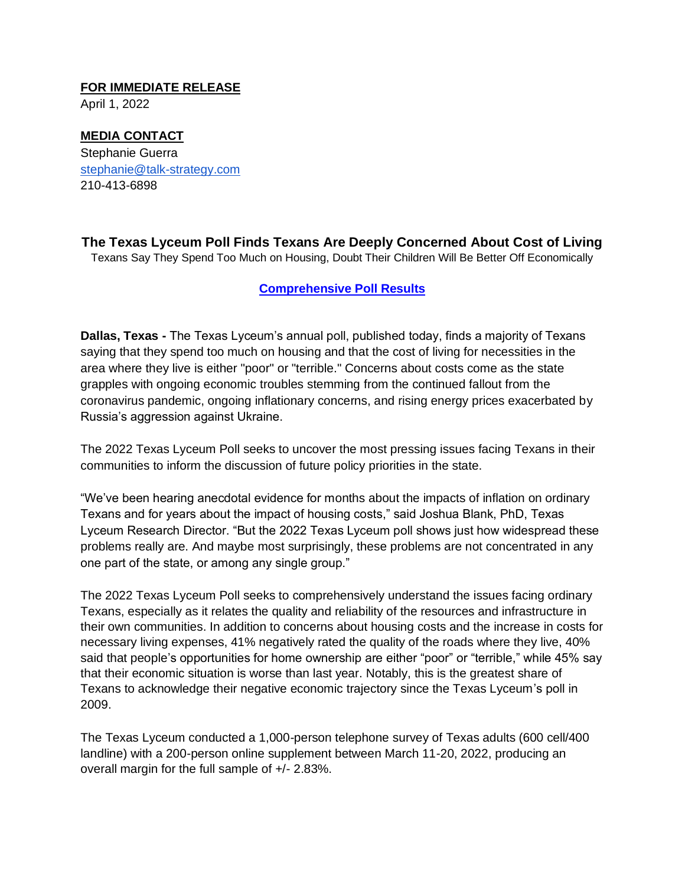#### **FOR IMMEDIATE RELEASE**

April 1, 2022

# **MEDIA CONTACT** Stephanie Guerra

stephanie@talk-strategy.com 210-413-6898

**The Texas Lyceum Poll Finds Texans Are Deeply Concerned About Cost of Living** Texans Say They Spend Too Much on Housing, Doubt Their Children Will Be Better Off Economically

### **[Comprehensive Poll Results](https://tel.memberclicks.net/lyceum-poll)**

**Dallas, Texas -** The Texas Lyceum's annual poll, published today, finds a majority of Texans saying that they spend too much on housing and that the cost of living for necessities in the area where they live is either "poor" or "terrible." Concerns about costs come as the state grapples with ongoing economic troubles stemming from the continued fallout from the coronavirus pandemic, ongoing inflationary concerns, and rising energy prices exacerbated by Russia's aggression against Ukraine.

The 2022 Texas Lyceum Poll seeks to uncover the most pressing issues facing Texans in their communities to inform the discussion of future policy priorities in the state.

"We've been hearing anecdotal evidence for months about the impacts of inflation on ordinary Texans and for years about the impact of housing costs," said Joshua Blank, PhD, Texas Lyceum Research Director. "But the 2022 Texas Lyceum poll shows just how widespread these problems really are. And maybe most surprisingly, these problems are not concentrated in any one part of the state, or among any single group."

The 2022 Texas Lyceum Poll seeks to comprehensively understand the issues facing ordinary Texans, especially as it relates the quality and reliability of the resources and infrastructure in their own communities. In addition to concerns about housing costs and the increase in costs for necessary living expenses, 41% negatively rated the quality of the roads where they live, 40% said that people's opportunities for home ownership are either "poor" or "terrible," while 45% say that their economic situation is worse than last year. Notably, this is the greatest share of Texans to acknowledge their negative economic trajectory since the Texas Lyceum's poll in 2009.

The Texas Lyceum conducted a 1,000-person telephone survey of Texas adults (600 cell/400 landline) with a 200-person online supplement between March 11-20, 2022, producing an overall margin for the full sample of +/- 2.83%.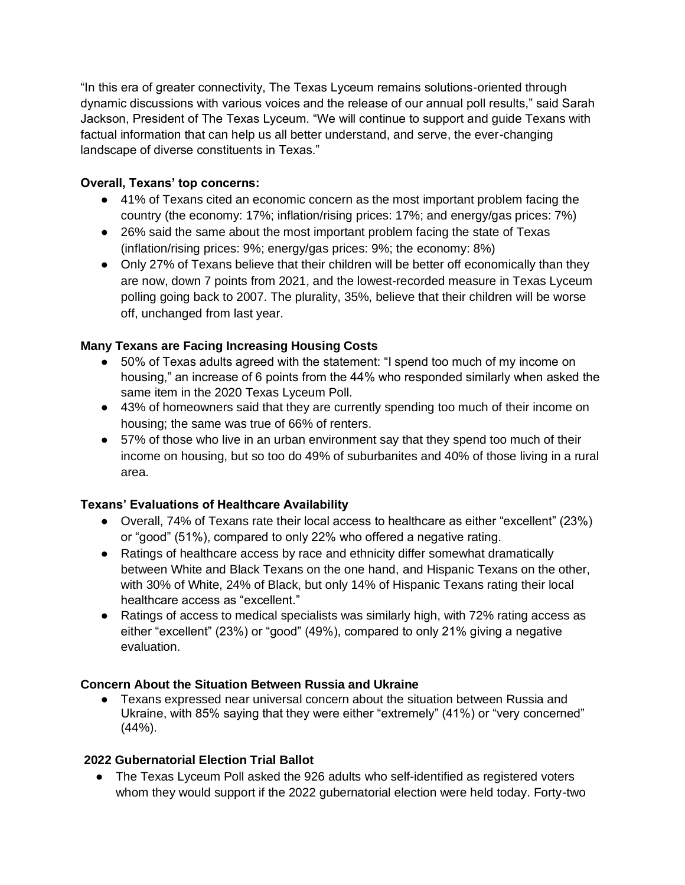"In this era of greater connectivity, The Texas Lyceum remains solutions-oriented through dynamic discussions with various voices and the release of our annual poll results," said Sarah Jackson, President of The Texas Lyceum. "We will continue to support and guide Texans with factual information that can help us all better understand, and serve, the ever-changing landscape of diverse constituents in Texas."

## **Overall, Texans' top concerns:**

- 41% of Texans cited an economic concern as the most important problem facing the country (the economy: 17%; inflation/rising prices: 17%; and energy/gas prices: 7%)
- 26% said the same about the most important problem facing the state of Texas (inflation/rising prices: 9%; energy/gas prices: 9%; the economy: 8%)
- Only 27% of Texans believe that their children will be better off economically than they are now, down 7 points from 2021, and the lowest-recorded measure in Texas Lyceum polling going back to 2007. The plurality, 35%, believe that their children will be worse off, unchanged from last year.

## **Many Texans are Facing Increasing Housing Costs**

- 50% of Texas adults agreed with the statement: "I spend too much of my income on housing," an increase of 6 points from the 44% who responded similarly when asked the same item in the 2020 Texas Lyceum Poll.
- 43% of homeowners said that they are currently spending too much of their income on housing; the same was true of 66% of renters.
- 57% of those who live in an urban environment say that they spend too much of their income on housing, but so too do 49% of suburbanites and 40% of those living in a rural area.

## **Texans' Evaluations of Healthcare Availability**

- Overall, 74% of Texans rate their local access to healthcare as either "excellent" (23%) or "good" (51%), compared to only 22% who offered a negative rating.
- Ratings of healthcare access by race and ethnicity differ somewhat dramatically between White and Black Texans on the one hand, and Hispanic Texans on the other, with 30% of White, 24% of Black, but only 14% of Hispanic Texans rating their local healthcare access as "excellent."
- Ratings of access to medical specialists was similarly high, with 72% rating access as either "excellent" (23%) or "good" (49%), compared to only 21% giving a negative evaluation.

## **Concern About the Situation Between Russia and Ukraine**

Texans expressed near universal concern about the situation between Russia and Ukraine, with 85% saying that they were either "extremely" (41%) or "very concerned"  $(44%).$ 

### **2022 Gubernatorial Election Trial Ballot**

• The Texas Lyceum Poll asked the 926 adults who self-identified as registered voters whom they would support if the 2022 gubernatorial election were held today. Forty-two